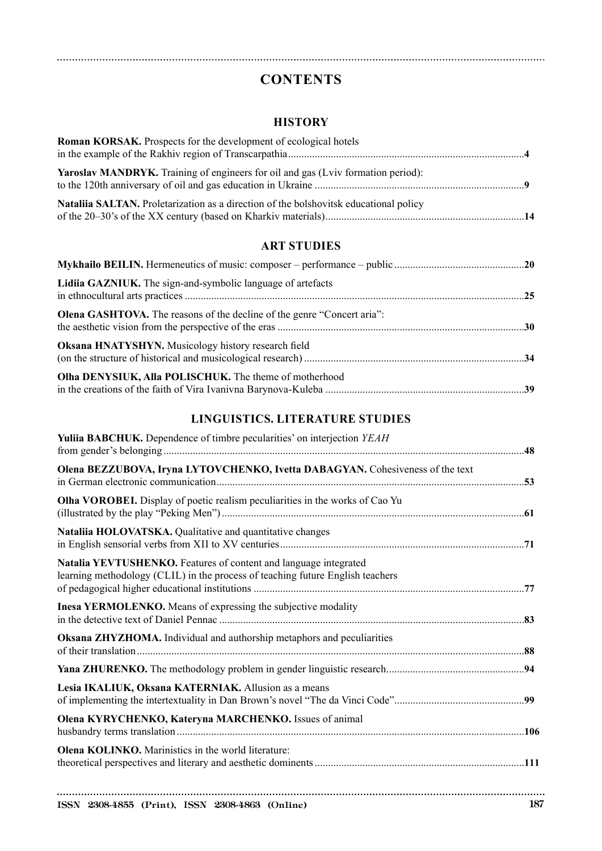# **CONTENTS**

#### **HISTORY**

| <b>Roman KORSAK.</b> Prospects for the development of ecological hotels                 |  |
|-----------------------------------------------------------------------------------------|--|
|                                                                                         |  |
| <b>Yaroslav MANDRYK.</b> Training of engineers for oil and gas (Lviv formation period): |  |
| Nataliia SALTAN. Proletarization as a direction of the bolshovitsk educational policy   |  |

#### **ART STUDIES**

| Lidiia GAZNIUK. The sign-and-symbolic language of artefacts                    |  |
|--------------------------------------------------------------------------------|--|
| <b>Olena GASHTOVA.</b> The reasons of the decline of the genre "Concert aria": |  |
| <b>Oksana HNATYSHYN.</b> Musicology history research field                     |  |
| Olha DENYSIUK, Alla POLISCHUK. The theme of motherhood                         |  |

## **LINGUISTICS. LITERATURE STUDIES**

| <b>Yuliia BABCHUK.</b> Dependence of timbre pecularities' on interjection <i>YEAH</i>                                                              |  |
|----------------------------------------------------------------------------------------------------------------------------------------------------|--|
| Olena BEZZUBOVA, Iryna LYTOVCHENKO, Ivetta DABAGYAN. Cohesiveness of the text                                                                      |  |
| Olha VOROBEI. Display of poetic realism peculiarities in the works of Cao Yu                                                                       |  |
| Nataliia HOLOVATSKA. Qualitative and quantitative changes                                                                                          |  |
| Natalia YEVTUSHENKO. Features of content and language integrated<br>learning methodology (CLIL) in the process of teaching future English teachers |  |
| Inesa YERMOLENKO. Means of expressing the subjective modality                                                                                      |  |
| Oksana ZHYZHOMA. Individual and authorship metaphors and peculiarities                                                                             |  |
|                                                                                                                                                    |  |
| Lesia IKALIUK, Oksana KATERNIAK. Allusion as a means                                                                                               |  |
| Olena KYRYCHENKO, Kateryna MARCHENKO. Issues of animal                                                                                             |  |
| <b>Olena KOLINKO.</b> Marinistics in the world literature:                                                                                         |  |
|                                                                                                                                                    |  |